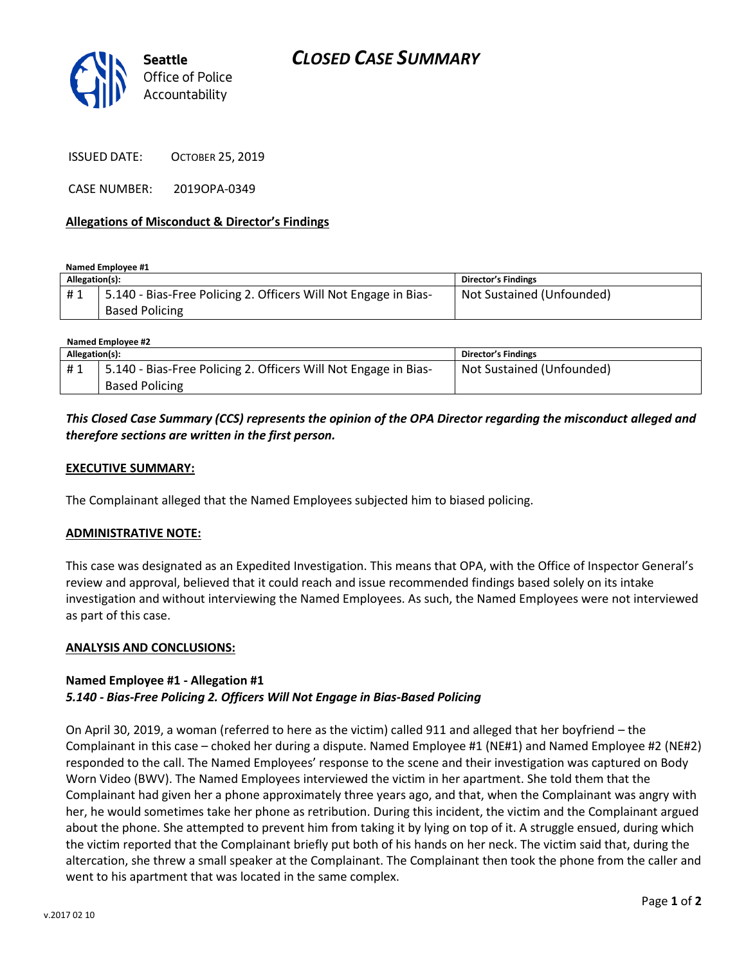



ISSUED DATE: OCTOBER 25, 2019

CASE NUMBER: 2019OPA-0349

### **Allegations of Misconduct & Director's Findings**

**Named Employee #1**

| Allegation(s): |                                                                                          | Director's Findings       |
|----------------|------------------------------------------------------------------------------------------|---------------------------|
| #1             | 5.140 - Bias-Free Policing 2. Officers Will Not Engage in Bias-<br><b>Based Policing</b> | Not Sustained (Unfounded) |
|                |                                                                                          |                           |

| Named Employee #2 |                                                                 |                           |  |
|-------------------|-----------------------------------------------------------------|---------------------------|--|
| Allegation(s):    |                                                                 | Director's Findings       |  |
| #1                | 5.140 - Bias-Free Policing 2. Officers Will Not Engage in Bias- | Not Sustained (Unfounded) |  |
|                   | <b>Based Policing</b>                                           |                           |  |

## *This Closed Case Summary (CCS) represents the opinion of the OPA Director regarding the misconduct alleged and therefore sections are written in the first person.*

#### **EXECUTIVE SUMMARY:**

The Complainant alleged that the Named Employees subjected him to biased policing.

#### **ADMINISTRATIVE NOTE:**

This case was designated as an Expedited Investigation. This means that OPA, with the Office of Inspector General's review and approval, believed that it could reach and issue recommended findings based solely on its intake investigation and without interviewing the Named Employees. As such, the Named Employees were not interviewed as part of this case.

#### **ANALYSIS AND CONCLUSIONS:**

## **Named Employee #1 - Allegation #1** *5.140 - Bias-Free Policing 2. Officers Will Not Engage in Bias-Based Policing*

On April 30, 2019, a woman (referred to here as the victim) called 911 and alleged that her boyfriend – the Complainant in this case – choked her during a dispute. Named Employee #1 (NE#1) and Named Employee #2 (NE#2) responded to the call. The Named Employees' response to the scene and their investigation was captured on Body Worn Video (BWV). The Named Employees interviewed the victim in her apartment. She told them that the Complainant had given her a phone approximately three years ago, and that, when the Complainant was angry with her, he would sometimes take her phone as retribution. During this incident, the victim and the Complainant argued about the phone. She attempted to prevent him from taking it by lying on top of it. A struggle ensued, during which the victim reported that the Complainant briefly put both of his hands on her neck. The victim said that, during the altercation, she threw a small speaker at the Complainant. The Complainant then took the phone from the caller and went to his apartment that was located in the same complex.